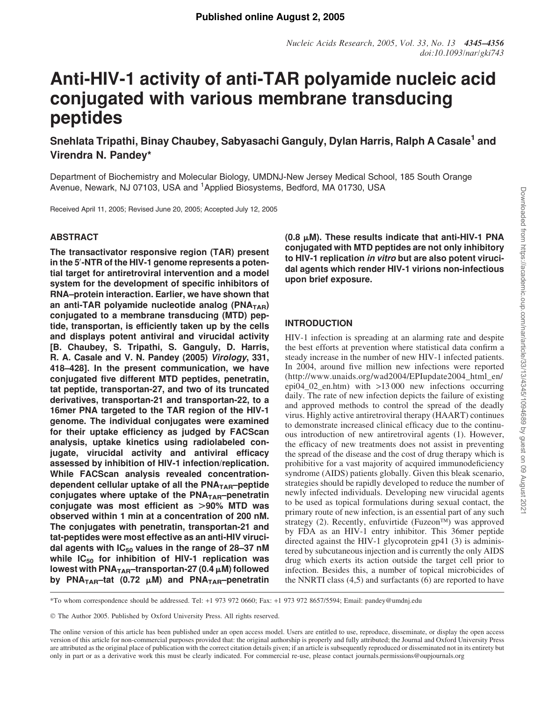# Anti-HIV-1 activity of anti-TAR polyamide nucleic acid conjugated with various membrane transducing peptides

Snehlata Tripathi, Binay Chaubey, Sabyasachi Ganguly, Dylan Harris, Ralph A Casale<sup>1</sup> and Virendra N. Pandey\*

Department of Biochemistry and Molecular Biology, UMDNJ-New Jersey Medical School, 185 South Orange Avenue, Newark, NJ 07103, USA and <sup>1</sup>Applied Biosystems, Bedford, MA 01730, USA

Received April 11, 2005; Revised June 20, 2005; Accepted July 12, 2005

# **ABSTRACT**

The transactivator responsive region (TAR) present in the 5'-NTR of the HIV-1 genome represents a potential target for antiretroviral intervention and a model system for the development of specific inhibitors of RNA–protein interaction. Earlier, we have shown that an anti-TAR polyamide nucleotide analog ( $PNA<sub>TAR</sub>$ ) conjugated to a membrane transducing (MTD) peptide, transportan, is efficiently taken up by the cells and displays potent antiviral and virucidal activity [B. Chaubey, S. Tripathi, S. Ganguly, D. Harris, R. A. Casale and V. N. Pandey (2005) Virology, 331, 418–428]. In the present communication, we have conjugated five different MTD peptides, penetratin, tat peptide, transportan-27, and two of its truncated derivatives, transportan-21 and transportan-22, to a 16mer PNA targeted to the TAR region of the HIV-1 genome. The individual conjugates were examined for their uptake efficiency as judged by FACScan analysis, uptake kinetics using radiolabeled conjugate, virucidal activity and antiviral efficacy assessed by inhibition of HIV-1 infection/replication. While FACScan analysis revealed concentrationdependent cellular uptake of all the  $PNA<sub>TAR</sub>$ –peptide conjugates where uptake of the  $PNA<sub>TAR</sub>$ –penetratin conjugate was most efficient as  $>90\%$  MTD was observed within 1 min at a concentration of 200 nM. The conjugates with penetratin, transportan-21 and tat-peptides were most effective as an anti-HIV virucidal agents with  $IC_{50}$  values in the range of 28-37 nM while  $IC_{50}$  for inhibition of HIV-1 replication was lowest with PNA<sub>TAR</sub>-transportan-27 (0.4  $\mu$ M) followed by PNA<sub>TAR</sub>-tat (0.72  $\mu$ M) and PNA<sub>TAR</sub>-penetratin (0.8  $\mu$ M). These results indicate that anti-HIV-1 PNA conjugated with MTD peptides are not only inhibitory to HIV-1 replication in vitro but are also potent virucidal agents which render HIV-1 virions non-infectious upon brief exposure.

# INTRODUCTION

HIV-1 infection is spreading at an alarming rate and despite the best efforts at prevention where statistical data confirm a steady increase in the number of new HIV-1 infected patients. In 2004, around five million new infections were reported (http://www.unaids.org/wad2004/EPIupdate2004\_html\_en/ epi04 02 en.htm) with  $>13000$  new infections occurring daily. The rate of new infection depicts the failure of existing and approved methods to control the spread of the deadly virus. Highly active antiretroviral therapy (HAART) continues to demonstrate increased clinical efficacy due to the continuous introduction of new antiretroviral agents (1). However, the efficacy of new treatments does not assist in preventing the spread of the disease and the cost of drug therapy which is prohibitive for a vast majority of acquired immunodeficiency syndrome (AIDS) patients globally. Given this bleak scenario, strategies should be rapidly developed to reduce the number of newly infected individuals. Developing new virucidal agents to be used as topical formulations during sexual contact, the primary route of new infection, is an essential part of any such strategy (2). Recently, enfuvirtide (Fuzeon™) was approved by FDA as an HIV-1 entry inhibitor. This 36mer peptide directed against the HIV-1 glycoprotein gp41 (3) is administered by subcutaneous injection and is currently the only AIDS drug which exerts its action outside the target cell prior to infection. Besides this, a number of topical microbicides of the NNRTI class (4,5) and surfactants (6) are reported to have

\*To whom correspondence should be addressed. Tel: +1 973 972 0660; Fax: +1 973 972 8657/5594; Email: pandey@umdnj.edu

The Author 2005. Published by Oxford University Press. All rights reserved.

The online version of this article has been published under an open access model. Users are entitled to use, reproduce, disseminate, or display the open access version of this article for non-commercial purposes provided that: the original authorship is properly and fully attributed; the Journal and Oxford University Press are attributed as the original place of publication with the correct citation details given; if an article is subsequently reproduced or disseminated not in its entirety but only in part or as a derivative work this must be clearly indicated. For commercial re-use, please contact journals.permissions@oupjournals.org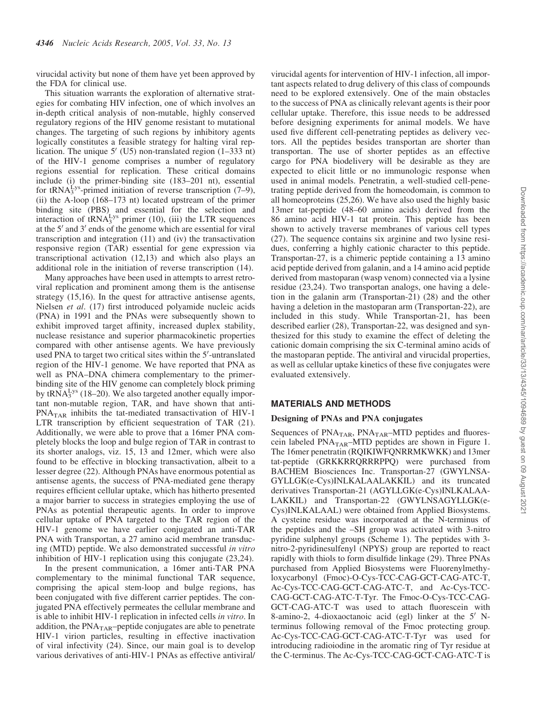virucidal activity but none of them have yet been approved by the FDA for clinical use.

This situation warrants the exploration of alternative strategies for combating HIV infection, one of which involves an in-depth critical analysis of non-mutable, highly conserved regulatory regions of the HIV genome resistant to mutational changes. The targeting of such regions by inhibitory agents logically constitutes a feasible strategy for halting viral replication. The unique  $5'$  (U5) non-translated region (1–333 nt) of the HIV-1 genome comprises a number of regulatory regions essential for replication. These critical domains include (i) the primer-binding site (183–201 nt), essential for tRNA $_{3}^{Lys}$ -primed initiation of reverse transcription (7–9), (ii) the A-loop (168–173 nt) located upstream of the primer binding site (PBS) and essential for the selection and interaction of  $\text{tRNA}_{3}^{\text{Lys}}$  primer (10), (iii) the LTR sequences at the  $5'$  and  $3'$  ends of the genome which are essential for viral transcription and integration (11) and (iv) the transactivation responsive region (TAR) essential for gene expression via transcriptional activation (12,13) and which also plays an additional role in the initiation of reverse transcription (14).

Many approaches have been used in attempts to arrest retroviral replication and prominent among them is the antisense strategy (15,16). In the quest for attractive antisense agents, Nielsen *et al*. (17) first introduced polyamide nucleic acids (PNA) in 1991 and the PNAs were subsequently shown to exhibit improved target affinity, increased duplex stability, nuclease resistance and superior pharmacokinetic properties compared with other antisense agents. We have previously used PNA to target two critical sites within the  $5'$ -untranslated region of the HIV-1 genome. We have reported that PNA as well as PNA–DNA chimera complementary to the primerbinding site of the HIV genome can completely block priming by tRNA $_3^{\text{Lys}}$  (18–20). We also targeted another equally important non-mutable region, TAR, and have shown that anti- $PNA<sub>TAR</sub>$  inhibits the tat-mediated transactivation of HIV-1 LTR transcription by efficient sequestration of TAR (21). Additionally, we were able to prove that a 16mer PNA completely blocks the loop and bulge region of TAR in contrast to its shorter analogs, viz. 15, 13 and 12mer, which were also found to be effective in blocking transactivation, albeit to a lesser degree (22). Although PNAs have enormous potential as antisense agents, the success of PNA-mediated gene therapy requires efficient cellular uptake, which has hitherto presented a major barrier to success in strategies employing the use of PNAs as potential therapeutic agents. In order to improve cellular uptake of PNA targeted to the TAR region of the HIV-1 genome we have earlier conjugated an anti-TAR PNA with Transportan, a 27 amino acid membrane transducing (MTD) peptide. We also demonstrated successful *in vitro* inhibition of HIV-1 replication using this conjugate (23,24).

In the present communication, a 16mer anti-TAR PNA complementary to the minimal functional TAR sequence, comprising the apical stem-loop and bulge regions, has been conjugated with five different carrier peptides. The conjugated PNA effectively permeates the cellular membrane and is able to inhibit HIV-1 replication in infected cells *in vitro*. In addition, the  $PNA<sub>TAR</sub>$ –peptide conjugates are able to penetrate HIV-1 virion particles, resulting in effective inactivation of viral infectivity (24). Since, our main goal is to develop various derivatives of anti-HIV-1 PNAs as effective antiviral/ virucidal agents for intervention of HIV-1 infection, all important aspects related to drug delivery of this class of compounds need to be explored extensively. One of the main obstacles to the success of PNA as clinically relevant agents is their poor cellular uptake. Therefore, this issue needs to be addressed before designing experiments for animal models. We have used five different cell-penetrating peptides as delivery vectors. All the peptides besides transportan are shorter than transportan. The use of shorter peptides as an effective cargo for PNA biodelivery will be desirable as they are expected to elicit little or no immunologic response when used in animal models. Penetratin, a well-studied cell-penetrating peptide derived from the homeodomain, is common to all homeoproteins (25,26). We have also used the highly basic 13mer tat-peptide (48–60 amino acids) derived from the 86 amino acid HIV-1 tat protein. This peptide has been shown to actively traverse membranes of various cell types (27). The sequence contains six arginine and two lysine residues, conferring a highly cationic character to this peptide. Transportan-27, is a chimeric peptide containing a 13 amino acid peptide derived from galanin, and a 14 amino acid peptide derived from mastoparan (wasp venom) connected via a lysine residue (23,24). Two transportan analogs, one having a deletion in the galanin arm (Transportan-21) (28) and the other having a deletion in the mastoparan arm (Transportan-22), are included in this study. While Transportan-21, has been described earlier (28), Transportan-22, was designed and synthesized for this study to examine the effect of deleting the cationic domain comprising the six C-terminal amino acids of the mastoparan peptide. The antiviral and virucidal properties, as well as cellular uptake kinetics of these five conjugates were evaluated extensively.

# MATERIALS AND METHODS

# Designing of PNAs and PNA conjugates

Sequences of PNA<sub>TAR</sub>, PNA<sub>TAR</sub>–MTD peptides and fluorescein labeled PNA<sub>TAR</sub>–MTD peptides are shown in Figure 1. The 16mer penetratin (RQIKIWFQNRRMKWKK) and 13mer tat-peptide (GRKKRRQRRRPPQ) were purchased from BACHEM Biosciences Inc. Transportan-27 (GWYLNSA-GYLLGK(e-Cys)INLKALAALAKKIL) and its truncated derivatives Transportan-21 (AGYLLGK(e-Cys)INLKALAA-LAKKIL) and Transportan-22 (GWYLNSAGYLLGK(e-Cys)INLKALAAL) were obtained from Applied Biosystems. A cysteine residue was incorporated at the N-terminus of the peptides and the –SH group was activated with 3-nitro pyridine sulphenyl groups (Scheme 1). The peptides with 3 nitro-2-pyridinesulfenyl (NPYS) group are reported to react rapidly with thiols to form disulfide linkage (29). Three PNAs purchased from Applied Biosystems were Fluorenylmethyloxycarbonyl (Fmoc)-O-Cys-TCC-CAG-GCT-CAG-ATC-T, Ac-Cys-TCC-CAG-GCT-CAG-ATC-T, and Ac-Cys-TCC-CAG-GCT-CAG-ATC-T-Tyr. The Fmoc-O-Cys-TCC-CAG-GCT-CAG-ATC-T was used to attach fluorescein with 8-amino-2, 4-dioxaoctanoic acid (egl) linker at the  $5'$  Nterminus following removal of the Fmoc protecting group. Ac-Cys-TCC-CAG-GCT-CAG-ATC-T-Tyr was used for introducing radioiodine in the aromatic ring of Tyr residue at the C-terminus. The Ac-Cys-TCC-CAG-GCT-CAG-ATC-T is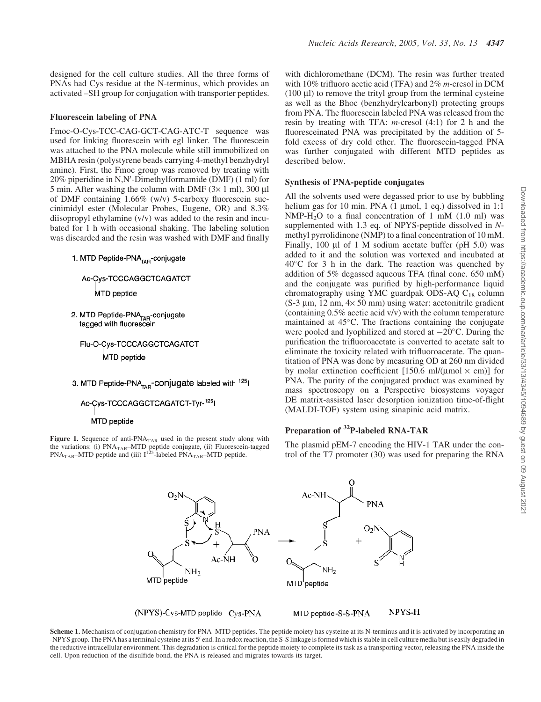#### Fluorescein labeling of PNA

Fmoc-O-Cys-TCC-CAG-GCT-CAG-ATC-T sequence was used for linking fluorescein with egl linker. The fluorescein was attached to the PNA molecule while still immobilized on MBHA resin (polystyrene beads carrying 4-methyl benzhydryl amine). First, the Fmoc group was removed by treating with 20% piperidine in N,N'-Dimethylformamide (DMF) (1 ml) for 5 min. After washing the column with DMF  $(3 \times 1$  ml), 300 µl of DMF containing 1.66% (w/v) 5-carboxy fluorescein succinimidyl ester (Molecular Probes, Eugene, OR) and 8.3% diisopropyl ethylamine (v/v) was added to the resin and incubated for 1 h with occasional shaking. The labeling solution was discarded and the resin was washed with DMF and finally

1. MTD Peptide-PNA<sub>TAR</sub>-conjugate

Ac-Cys-TCCCAGGCTCAGATCT MTD peptide

2. MTD Peptide-PNA<sub>TAR</sub>-conjugate tagged with fluorescein

Flu-O-Cys-TCCCAGGCTCAGATCT MTD peptide

3. MTD Peptide-PNA<sub>TAB</sub>-conjugate labeled with <sup>125</sup>l

Ac-Cys-TCCCAGGCTCAGATCT-Tyr-125

#### MTD peptide

Figure 1. Sequence of anti- $PNA<sub>TAR</sub>$  used in the present study along with the variations: (i) PNA<sub>TAR</sub>–MTD peptide conjugate, (ii) Fluorescein-tagged<br>PNA<sub>TAR</sub>–MTD peptide and (iii) I<sup>125</sup>-labeled PNA<sub>TAR</sub>–MTD peptide.

with dichloromethane (DCM). The resin was further treated with 10% trifluoro acetic acid (TFA) and 2% *m*-cresol in DCM  $(100 \mu l)$  to remove the trityl group from the terminal cysteine as well as the Bhoc (benzhydrylcarbonyl) protecting groups from PNA. The fluorescein labeled PNA was released from the resin by treating with TFA: *m*-cresol (4:1) for 2 h and the fluoresceinated PNA was precipitated by the addition of 5 fold excess of dry cold ether. The fluorescein-tagged PNA was further conjugated with different MTD peptides as described below.

#### Synthesis of PNA-peptide conjugates

All the solvents used were degassed prior to use by bubbling helium gas for 10 min. PNA  $(1 \text{ \mu mol}, 1 \text{ \text{ eq}})$  dissolved in 1:1  $NMP-H<sub>2</sub>O$  to a final concentration of 1 mM (1.0 ml) was supplemented with 1.3 eq. of NPYS-peptide dissolved in *N*methyl pyrrolidinone (NMP) to a final concentration of 10 mM. Finally, 100  $\mu$ l of 1 M sodium acetate buffer (pH 5.0) was added to it and the solution was vortexed and incubated at 40°C for 3 h in the dark. The reaction was quenched by addition of 5% degassed aqueous TFA (final conc. 650 mM) and the conjugate was purified by high-performance liquid chromatography using YMC guardpak ODS-AQ  $C_{18}$  column  $(S-3 \mu m, 12 \mu m, 4 \times 50 \mu m)$  using water: acetonitrile gradient (containing 0.5% acetic acid v/v) with the column temperature maintained at  $45^{\circ}$ C. The fractions containing the conjugate were pooled and lyophilized and stored at  $-20^{\circ}$ C. During the purification the trifluoroacetate is converted to acetate salt to eliminate the toxicity related with trifluoroacetate. The quantitation of PNA was done by measuring OD at 260 nm divided by molar extinction coefficient [150.6 ml/( $\mu$ mol  $\times$  cm)] for PNA. The purity of the conjugated product was examined by mass spectroscopy on a Perspective biosystems voyager DE matrix-assisted laser desorption ionization time-of-flight (MALDI-TOF) system using sinapinic acid matrix.

# Preparation of <sup>32</sup>P-labeled RNA-TAR

The plasmid pEM-7 encoding the HIV-1 TAR under the control of the T7 promoter (30) was used for preparing the RNA



(NPYS)-Cys-MTD peptide Cys-PNA

NPYS-H MTD peptide-S-S-PNA

Scheme 1. Mechanism of conjugation chemistry for PNA–MTD peptides. The peptide moiety has cysteine at its N-terminus and it is activated by incorporating an -NPYS group. The PNA has a terminal cysteine at its 5' end. In a redox reaction, the S-S linkage is formed which is stable in cell culture media but is easily degraded in the reductive intracellular environment. This degradation is critical for the peptide moiety to complete its task as a transporting vector, releasing the PNA inside the cell. Upon reduction of the disulfide bond, the PNA is released and migrates towards its target.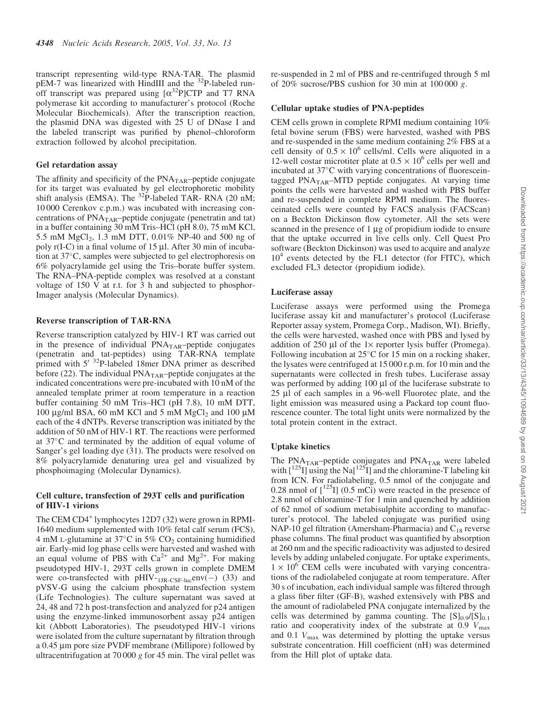transcript representing wild-type RNA-TAR. The plasmid pEM-7 was linearized with HindIII and the <sup>32</sup>P-labeled runoff transcript was prepared using  $[\alpha^{32}P]CTP$  and T7 RNA polymerase kit according to manufacturer's protocol (Roche Molecular Biochemicals). After the transcription reaction, the plasmid DNA was digested with 25 U of DNase I and the labeled transcript was purified by phenol–chloroform extraction followed by alcohol precipitation.

### Gel retardation assay

The affinity and specificity of the  $PNA<sub>TAR</sub>$ –peptide conjugate for its target was evaluated by gel electrophoretic mobility shift analysis (EMSA). The  $^{32}P$ -labeled TAR- RNA (20 nM; 10 000 Cerenkov c.p.m.) was incubated with increasing concentrations of  $PNA<sub>TAR</sub>$ -peptide conjugate (penetratin and tat) in a buffer containing 30 mM Tris–HCl (pH 8.0), 75 mM KCl, 5.5 mM  $MgCl<sub>2</sub>$ , 1.3 mM DTT, 0.01% NP-40 and 500 ng of poly  $r(I-C)$  in a final volume of 15 µl. After 30 min of incubation at 37-C, samples were subjected to gel electrophoresis on 6% polyacrylamide gel using the Tris–borate buffer system. The RNA–PNA-peptide complex was resolved at a constant voltage of 150 V at r.t. for 3 h and subjected to phosphor-Imager analysis (Molecular Dynamics).

#### Reverse transcription of TAR-RNA

Reverse transcription catalyzed by HIV-1 RT was carried out in the presence of individual  $PNA<sub>TAR</sub>$ -peptide conjugates (penetratin and tat-peptides) using TAR-RNA template primed with  $5'$  <sup>32</sup>P-labeled 18mer DNA primer as described before (22). The individual  $PNA<sub>TAR</sub>$ –peptide conjugates at the indicated concentrations were pre-incubated with 10 nM of the annealed template primer at room temperature in a reaction buffer containing 50 mM Tris–HCl (pH 7.8), 10 mM DTT, 100  $\mu$ g/ml BSA, 60 mM KCl and 5 mM MgCl<sub>2</sub> and 100  $\mu$ M each of the 4 dNTPs. Reverse transcription was initiated by the addition of 50 nM of HIV-1 RT. The reactions were performed at 37°C and terminated by the addition of equal volume of Sanger's gel loading dye (31). The products were resolved on 8% polyacrylamide denaturing urea gel and visualized by phosphoimaging (Molecular Dynamics).

# Cell culture, transfection of 293T cells and purification of HIV-1 virions

The CEM CD4<sup>+</sup> lymphocytes 12D7 (32) were grown in RPMI-1640 medium supplemented with 10% fetal calf serum (FCS), 4 mM L-glutamine at 37 $^{\circ}$ C in 5% CO<sub>2</sub> containing humidified air. Early-mid log phase cells were harvested and washed with an equal volume of PBS with  $Ca^{2+}$  and Mg<sup>2+</sup>. For making pseudotyped HIV-1, 293T cells grown in complete DMEM were co-transfected with  $pHIV_{\text{TIR-CSE-luc}} env(-)$  (33) and pVSV-G using the calcium phosphate transfection system (Life Technologies). The culture supernatant was saved at 24, 48 and 72 h post-transfection and analyzed for p24 antigen using the enzyme-linked immunosorbent assay p24 antigen kit (Abbott Laboratories). The pseudotyped HIV-1 virions were isolated from the culture supernatant by filtration through a 0.45 µm pore size PVDF membrane (Millipore) followed by ultracentrifugation at 70 000 *g* for 45 min. The viral pellet was

### Cellular uptake studies of PNA-peptides

CEM cells grown in complete RPMI medium containing 10% fetal bovine serum (FBS) were harvested, washed with PBS and re-suspended in the same medium containing 2% FBS at a cell density of  $0.5 \times 10^6$  cells/ml. Cells were aliquoted in a 12-well costar microtiter plate at  $0.5 \times 10^6$  cells per well and incubated at 37°C with varying concentrations of fluoresceintagged  $PNA<sub>TAR</sub>$ –MTD peptide conjugates. At varying time points the cells were harvested and washed with PBS buffer and re-suspended in complete RPMI medium. The fluoresceinated cells were counted by FACS analysis (FACScan) on a Beckton Dickinson flow cytometer. All the sets were scanned in the presence of  $1 \mu$ g of propidium iodide to ensure that the uptake occurred in live cells only. Cell Quest Pro software (Beckton Dickinson) was used to acquire and analyze 10<sup>4</sup> events detected by the FL1 detector (for FITC), which excluded FL3 detector (propidium iodide).

# Luciferase assay

Luciferase assays were performed using the Promega luciferase assay kit and manufacturer's protocol (Luciferase Reporter assay system, Promega Corp., Madison, WI). Briefly, the cells were harvested, washed once with PBS and lysed by addition of 250  $\mu$ l of the 1× reporter lysis buffer (Promega). Following incubation at  $25^{\circ}$ C for 15 min on a rocking shaker, the lysates were centrifuged at 15 000 r.p.m. for 10 min and the supernatants were collected in fresh tubes. Luciferase assay was performed by adding 100 µl of the luciferase substrate to 25 µl of each samples in a 96-well Fluorotec plate, and the light emission was measured using a Packard top count fluorescence counter. The total light units were normalized by the total protein content in the extract.

# Uptake kinetics

The  $PNA<sub>TAR</sub>$ -peptide conjugates and  $PNA<sub>TAR</sub>$  were labeled with  $\left[1^{125}I\right]$  using the Na $\left[1^{125}I\right]$  and the chloramine-T labeling kit from ICN. For radiolabeling, 0.5 nmol of the conjugate and 0.28 nmol of  $\int_0^{125}$  [] (0.5 mCi) were reacted in the presence of 2.8 nmol of chloramine-T for 1 min and quenched by addition of 62 nmol of sodium metabisulphite according to manufacturer's protocol. The labeled conjugate was purified using NAP-10 gel filtration (Amersham-Pharmacia) and  $C_{18}$  reverse phase columns. The final product was quantified by absorption at 260 nm and the specific radioactivity was adjusted to desired levels by adding unlabeled conjugate. For uptake experiments,  $1 \times 10^6$  CEM cells were incubated with varying concentrations of the radiolabeled conjugate at room temperature. After 30 s of incubation, each individual sample was filtered through a glass fiber filter (GF-B), washed extensively with PBS and the amount of radiolabeled PNA conjugate internalized by the cells was determined by gamma counting. The  $[S]_{0.9}/[S]_{0.1}$ ratio and cooperativity index of the substrate at 0.9  $V_{\text{max}}$ and 0.1  $V_{\text{max}}$  was determined by plotting the uptake versus substrate concentration. Hill coefficient (nH) was determined from the Hill plot of uptake data.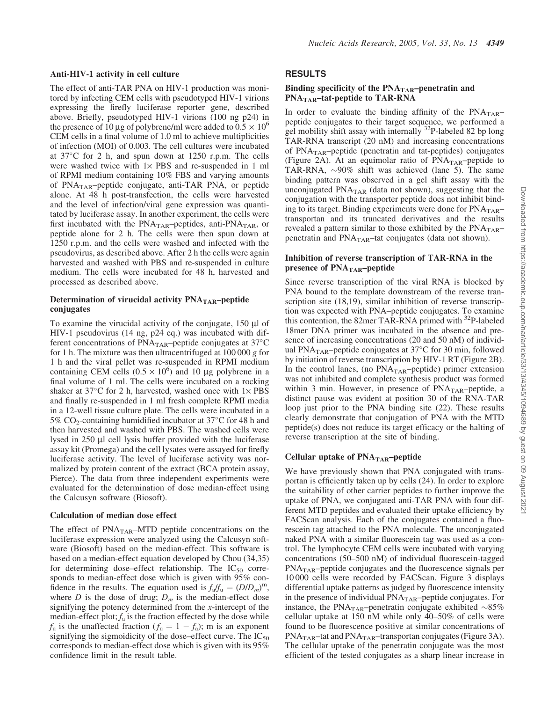#### Anti-HIV-1 activity in cell culture

The effect of anti-TAR PNA on HIV-1 production was monitored by infecting CEM cells with pseudotyped HIV-1 virions expressing the firefly luciferase reporter gene, described above. Briefly, pseudotyped HIV-1 virions (100 ng p24) in the presence of 10 µg of polybrene/ml were added to  $0.5 \times 10^6$ CEM cells in a final volume of 1.0 ml to achieve multiplicities of infection (MOI) of 0.003. The cell cultures were incubated at 37-C for 2 h, and spun down at 1250 r.p.m. The cells were washed twice with  $1 \times PBS$  and re-suspended in 1 ml of RPMI medium containing 10% FBS and varying amounts of  $PNA<sub>TAR</sub>$ -peptide conjugate, anti-TAR PNA, or peptide alone. At 48 h post-transfection, the cells were harvested and the level of infection/viral gene expression was quantitated by luciferase assay. In another experiment, the cells were first incubated with the  $PNA<sub>TAR</sub>$ –peptides, anti- $PNA<sub>TAR</sub>$ , or peptide alone for 2 h. The cells were then spun down at 1250 r.p.m. and the cells were washed and infected with the pseudovirus, as described above. After 2 h the cells were again harvested and washed with PBS and re-suspended in culture medium. The cells were incubated for 48 h, harvested and processed as described above.

# Determination of virucidal activity  $PNA<sub>TAR</sub>$ –peptide conjugates

To examine the virucidal activity of the conjugate,  $150 \mu l$  of HIV-1 pseudovirus (14 ng, p24 eq.) was incubated with different concentrations of  $\overrightarrow{PNA}_{TAR}$ –peptide conjugates at 37°C for 1 h. The mixture was then ultracentrifuged at 100 000 *g* for 1 h and the viral pellet was re-suspended in RPMI medium containing CEM cells  $(0.5 \times 10^6)$  and 10 µg polybrene in a final volume of 1 ml. The cells were incubated on a rocking shaker at 37 $\degree$ C for 2 h, harvested, washed once with 1× PBS and finally re-suspended in 1 ml fresh complete RPMI media in a 12-well tissue culture plate. The cells were incubated in a 5%  $CO_2$ -containing humidified incubator at 37°C for 48 h and then harvested and washed with PBS. The washed cells were lysed in 250 µl cell lysis buffer provided with the luciferase assay kit (Promega) and the cell lysates were assayed for firefly luciferase activity. The level of luciferase activity was normalized by protein content of the extract (BCA protein assay, Pierce). The data from three independent experiments were evaluated for the determination of dose median-effect using the Calcusyn software (Biosoft).

# Calculation of median dose effect

The effect of  $PNA<sub>TAR</sub>$ –MTD peptide concentrations on the luciferase expression were analyzed using the Calcusyn software (Biosoft) based on the median-effect. This software is based on a median-effect equation developed by Chou (34,35) for determining dose–effect relationship. The  $IC_{50}$  corresponds to median-effect dose which is given with 95% confidence in the results. The equation used is  $f_a/f_u = (D/D_m)^m$ , where *D* is the dose of drug;  $D_m$  is the median-effect dose signifying the potency determined from the *x*-intercept of the median-effect plot;  $f_a$  is the fraction effected by the dose while  $f_u$  is the unaffected fraction  $(f_u = 1 - f_a)$ ; m is an exponent signifying the sigmoidicity of the dose–effect curve. The  $IC_{50}$ corresponds to median-effect dose which is given with its 95% confidence limit in the result table.

# RESULTS

# Binding specificity of the  $PNA<sub>TAR</sub>$ –penetratin and PNA<sub>TAR</sub>-tat-peptide to TAR-RNA

In order to evaluate the binding affinity of the  $PNA<sub>TAR</sub>$ peptide conjugates to their target sequence, we performed a gel mobility shift assay with internally  $32P$ -labeled 82 bp long TAR-RNA transcript (20 nM) and increasing concentrations of PNA<sub>TAR</sub>-peptide (penetratin and tat-peptides) conjugates (Figure 2A). At an equimolar ratio of  $PNA<sub>TAR</sub>$ -peptide to TAR-RNA,  $\sim$ 90% shift was achieved (lane 5). The same binding pattern was observed in a gel shift assay with the unconjugated  $PNA<sub>TAR</sub>$  (data not shown), suggesting that the conjugation with the transporter peptide does not inhibit binding to its target. Binding experiments were done for  $PNA<sub>TAR</sub>$ – transportan and its truncated derivatives and the results revealed a pattern similar to those exhibited by the  $PNA<sub>TAR</sub>$ – penetratin and  $PNA<sub>TAR</sub>$ -tat conjugates (data not shown).

# Inhibition of reverse transcription of TAR-RNA in the presence of PNA<sub>TAR</sub>-peptide

Since reverse transcription of the viral RNA is blocked by PNA bound to the template downstream of the reverse transcription site (18,19), similar inhibition of reverse transcription was expected with PNA–peptide conjugates. To examine this contention, the 82mer TAR-RNA primed with <sup>32</sup>P-labeled 18mer DNA primer was incubated in the absence and presence of increasing concentrations (20 and 50 nM) of individual PNA<sub>TAR</sub>-peptide conjugates at  $37^{\circ}$ C for 30 min, followed by initiation of reverse transcription by HIV-1 RT (Figure 2B). In the control lanes, (no  $PNA<sub>TAR</sub>$ –peptide) primer extension was not inhibited and complete synthesis product was formed within 3 min. However, in presence of  $PNA<sub>TAR</sub>$ -peptide, a distinct pause was evident at position 30 of the RNA-TAR loop just prior to the PNA binding site (22). These results clearly demonstrate that conjugation of PNA with the MTD peptide(s) does not reduce its target efficacy or the halting of reverse transcription at the site of binding.

# Cellular uptake of  $PNA<sub>TAR</sub>$ –peptide

We have previously shown that PNA conjugated with transportan is efficiently taken up by cells (24). In order to explore the suitability of other carrier peptides to further improve the uptake of PNA, we conjugated anti-TAR PNA with four different MTD peptides and evaluated their uptake efficiency by FACScan analysis. Each of the conjugates contained a fluorescein tag attached to the PNA molecule. The unconjugated naked PNA with a similar fluorescein tag was used as a control. The lymphocyte CEM cells were incubated with varying concentrations (50–500 nM) of individual fluorescein-tagged  $PNA<sub>TAR</sub>$ –peptide conjugates and the fluorescence signals per 10 000 cells were recorded by FACScan. Figure 3 displays differential uptake patterns as judged by fluorescence intensity in the presence of individual  $PNA<sub>TAR</sub>$ –peptide conjugates. For instance, the PNA<sub>TAR</sub>-penetratin conjugate exhibited  $\sim$ 85% cellular uptake at 150 nM while only 40–50% of cells were found to be fluorescence positive at similar concentrations of  $PNA<sub>TAR</sub>$ –tat and  $PNA<sub>TAR</sub>$ –transportan conjugates (Figure 3A). The cellular uptake of the penetratin conjugate was the most efficient of the tested conjugates as a sharp linear increase in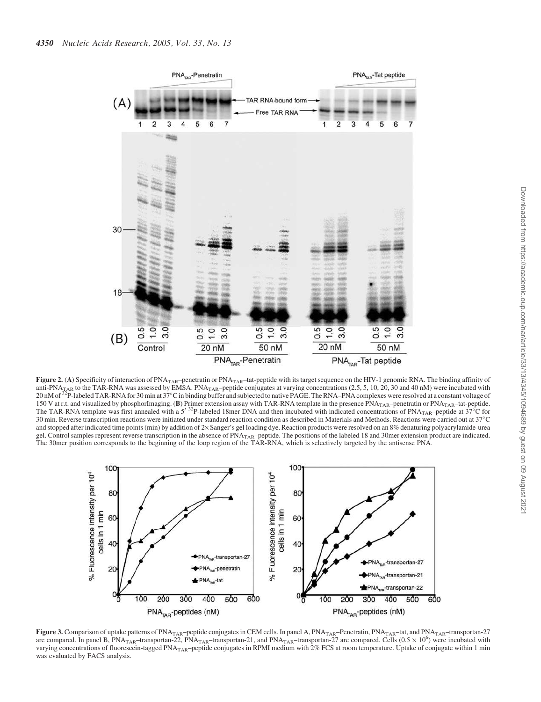

Figure 2. (A) Specificity of interaction of PNA<sub>TAR</sub>–penetratin or PNA<sub>TAR</sub>–tat-peptide with its target sequence on the HIV-1 genomic RNA. The binding affinity of anti-PNA<sub>TAR</sub> to the TAR-RNA was assessed by EMSA. PNA<sub>TAR</sub>–peptide conjugates at varying concentrations (2.5, 5, 10, 20, 30 and 40 nM) were incubated with 20 nM of  $\frac{32}{2}$ P-labeled TAR-RNA for 30 min at 37°C in binding buffer and subjected to native PAGE. The RNA–PNA complexes were resolved at a constant voltage of 150 V at r.t. and visualized by phosphorImaging. (B) Primer extension assay with TAR-RNA template in the presence PNA<sub>TAR</sub>-penetratin or PNA<sub>TAR</sub>-tat-peptide.<br>The TAR-RNA template was first annealed with a 5<sup>732</sup>P-labeled 30 min. Reverse transcription reactions were initiated under standard reaction condition as described in Materials and Methods. Reactions were carried out at 37-C and stopped after indicated time points (min) by addition of 2× Sanger's gel loading dye. Reaction products were resolved on an 8% denaturing polyacrylamide-urea gel. Control samples represent reverse transcription in the absence of  $PNA<sub>TAR</sub>$ -peptide. The positions of the labeled 18 and 30mer extension product are indicated. The 30mer position corresponds to the beginning of the loop region of the TAR-RNA, which is selectively targeted by the antisense PNA.



Figure 3. Comparison of uptake patterns of PNA<sub>TAR</sub>–peptide conjugates in CEM cells. In panel A, PNA<sub>TAR</sub>–Penetratin, PNA<sub>TAR</sub>–tat, and PNA<sub>TAR</sub>–transportan-27 are compared. In panel B, PNA<sub>TAR</sub>–transportan-22, PNA<sub>TAR</sub>–transportan-21, and PNA<sub>TAR</sub>–transportan-27 are compared. Cells (0.5  $\times$  10<sup>6</sup>) were incubated with varying concentrations of fluorescein-tagged PNA<sub>TAR</sub>-peptide conjugates in RPMI medium with  $2\%$  FCS at room temperature. Uptake of conjugate within 1 min was evaluated by FACS analysis.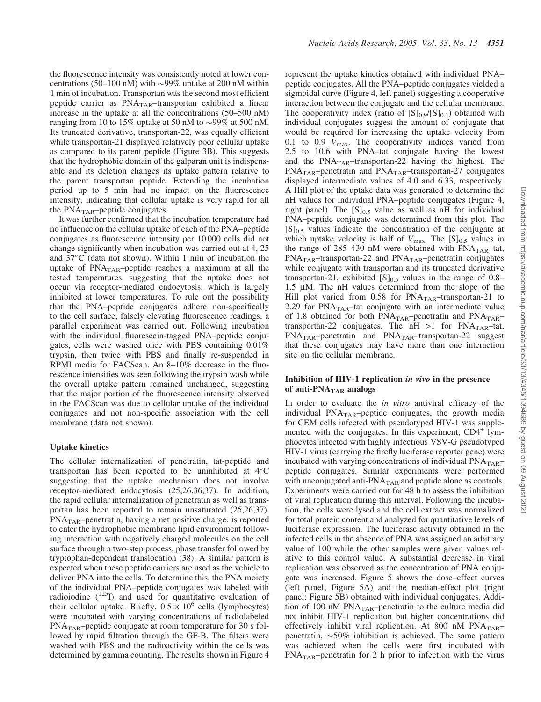the fluorescence intensity was consistently noted at lower concentrations (50–100 nM) with  $\sim$ 99% uptake at 200 nM within 1 min of incubation. Transportan was the second most efficient peptide carrier as  $PNA<sub>TAR</sub>$ -transportan exhibited a linear increase in the uptake at all the concentrations (50–500 nM) ranging from 10 to 15% uptake at 50 nM to  $\sim$ 99% at 500 nM. Its truncated derivative, transportan-22, was equally efficient while transportan-21 displayed relatively poor cellular uptake as compared to its parent peptide (Figure 3B). This suggests that the hydrophobic domain of the galparan unit is indispensable and its deletion changes its uptake pattern relative to the parent transportan peptide. Extending the incubation period up to 5 min had no impact on the fluorescence intensity, indicating that cellular uptake is very rapid for all the PNA<sub>TAR</sub>-peptide conjugates.

It was further confirmed that the incubation temperature had no influence on the cellular uptake of each of the PNA–peptide conjugates as fluorescence intensity per 10 000 cells did not change significantly when incubation was carried out at 4, 25 and  $37^{\circ}$ C (data not shown). Within 1 min of incubation the uptake of  $PNA<sub>TAR</sub>$ -peptide reaches a maximum at all the tested temperatures, suggesting that the uptake does not occur via receptor-mediated endocytosis, which is largely inhibited at lower temperatures. To rule out the possibility that the PNA–peptide conjugates adhere non-specifically to the cell surface, falsely elevating fluorescence readings, a parallel experiment was carried out. Following incubation with the individual fluorescein-tagged PNA–peptide conjugates, cells were washed once with PBS containing 0.01% trypsin, then twice with PBS and finally re-suspended in RPMI media for FACScan. An 8–10% decrease in the fluorescence intensities was seen following the trypsin wash while the overall uptake pattern remained unchanged, suggesting that the major portion of the fluorescence intensity observed in the FACScan was due to cellular uptake of the individual conjugates and not non-specific association with the cell membrane (data not shown).

#### Uptake kinetics

The cellular internalization of penetratin, tat-peptide and transportan has been reported to be uninhibited at  $4^{\circ}$ C suggesting that the uptake mechanism does not involve receptor-mediated endocytosis (25,26,36,37). In addition, the rapid cellular internalization of penetratin as well as transportan has been reported to remain unsaturated (25,26,37).  $PNA<sub>TAR</sub>$ –penetratin, having a net positive charge, is reported to enter the hydrophobic membrane lipid environment following interaction with negatively charged molecules on the cell surface through a two-step process, phase transfer followed by tryptophan-dependent translocation (38). A similar pattern is expected when these peptide carriers are used as the vehicle to deliver PNA into the cells. To determine this, the PNA moiety of the individual PNA–peptide conjugates was labeled with radioiodine  $(125)$  and used for quantitative evaluation of their cellular uptake. Briefly,  $0.5 \times 10^6$  cells (lymphocytes) were incubated with varying concentrations of radiolabeled  $PNA<sub>TAR</sub>$ –peptide conjugate at room temperature for 30 s followed by rapid filtration through the GF-B. The filters were washed with PBS and the radioactivity within the cells was determined by gamma counting. The results shown in Figure 4

represent the uptake kinetics obtained with individual PNA– peptide conjugates. All the PNA–peptide conjugates yielded a sigmoidal curve (Figure 4, left panel) suggesting a cooperative interaction between the conjugate and the cellular membrane. The cooperativity index (ratio of  $[S]_{0.9}/[S]_{0.1}$ ) obtained with individual conjugates suggest the amount of conjugate that would be required for increasing the uptake velocity from 0.1 to 0.9  $V_{\text{max}}$ . The cooperativity indices varied from 2.5 to 10.6 with PNA–tat conjugate having the lowest and the  $PNA<sub>TAR</sub>$ -transportan-22 having the highest. The  $PNA<sub>TAR</sub>$ –penetratin and  $PNA<sub>TAR</sub>$ –transportan-27 conjugates displayed intermediate values of 4.0 and 6.33, respectively. A Hill plot of the uptake data was generated to determine the nH values for individual PNA–peptide conjugates (Figure 4, right panel). The  $[S]_{0.5}$  value as well as nH for individual PNA–peptide conjugate was determined from this plot. The  $[S]_{0.5}$  values indicate the concentration of the conjugate at which uptake velocity is half of  $V_{\text{max}}$ . The  $[S]_{0.5}$  values in the range of  $285-430$  nM were obtained with  $PNA<sub>TAR</sub>$ -tat,  $PNA<sub>TAR</sub>$ -transportan-22 and  $PNA<sub>TAR</sub>$ -penetratin conjugates while conjugate with transportan and its truncated derivative transportan-21, exhibited  $[S]_{0.5}$  values in the range of 0.8–  $1.5 \mu M$ . The nH values determined from the slope of the Hill plot varied from  $0.58$  for PNA<sub>TAR</sub>-transportan-21 to 2.29 for  $PNA<sub>TAR</sub>$ -tat conjugate with an intermediate value of 1.8 obtained for both  $PNA<sub>TAR</sub>$ –penetratin and  $PNA<sub>TAR</sub>$ – transportan-22 conjugates. The  $nH > 1$  for PNA<sub>TAR</sub>-tat,  $PNA<sub>TAR</sub>$ –penetratin and  $PNA<sub>TAR</sub>$ –transportan-22 suggest that these conjugates may have more than one interaction site on the cellular membrane.

#### Inhibition of HIV-1 replication in vivo in the presence of anti- $PNA<sub>TAR</sub>$  analogs

In order to evaluate the *in vitro* antiviral efficacy of the individual  $PNA<sub>TAR</sub>$ -peptide conjugates, the growth media for CEM cells infected with pseudotyped HIV-1 was supplemented with the conjugates. In this experiment, CD4<sup>+</sup> lymphocytes infected with highly infectious VSV-G pseudotyped HIV-1 virus (carrying the firefly luciferase reporter gene) were incubated with varying concentrations of individual  $PNA<sub>TAR</sub>$ – peptide conjugates. Similar experiments were performed with unconjugated anti- $PNA<sub>TAR</sub>$  and peptide alone as controls. Experiments were carried out for 48 h to assess the inhibition of viral replication during this interval. Following the incubation, the cells were lysed and the cell extract was normalized for total protein content and analyzed for quantitative levels of luciferase expression. The luciferase activity obtained in the infected cells in the absence of PNA was assigned an arbitrary value of 100 while the other samples were given values relative to this control value. A substantial decrease in viral replication was observed as the concentration of PNA conjugate was increased. Figure 5 shows the dose–effect curves (left panel; Figure 5A) and the median-effect plot (right panel; Figure 5B) obtained with individual conjugates. Addition of 100 nM  $PNA<sub>TAR</sub>$ -penetratin to the culture media did not inhibit HIV-1 replication but higher concentrations did effectively inhibit viral replication. At 800 nM  $PNA<sub>TAR</sub>$ penetratin,  $\sim 50\%$  inhibition is achieved. The same pattern was achieved when the cells were first incubated with  $PNA<sub>TAR</sub>$ –penetratin for 2 h prior to infection with the virus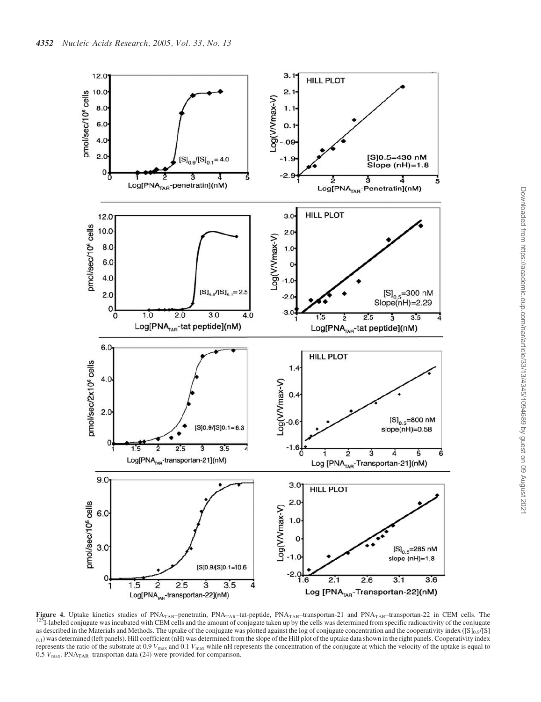

**Figure 4.** Uptake kinetics studies of  $PNA<sub>TAR</sub>$ –penetratin,  $PNA<sub>TAR</sub>$ –tat-peptide,  $PNA<sub>TAR</sub>$ –transportan-21 and  $PNA<sub>TAR</sub>$ –transportan-22 in CEM cells. The  $5$ I-labeled conjugate was incubated with CEM cells and the amount of conjugate taken up by the cells was determined from specific radioactivity of the conjugate as described in the Materials and Methods. The uptake of the conjugate was plotted against the log of conjugate concentration and the cooperativity index ( $[S]0.9/[S]$  $_{0.1}$ ) was determined (left panels). Hill coefficient (nH) was determined from the slope of the Hill plot of the uptake data shown in the right panels. Cooperativity index represents the ratio of the substrate at 0.9  $V_{\text{max}}$  and 0.1  $V_{\text{max}}$  while nH represents the concentration of the conjugate at which the velocity of the uptake is equal to 0.5  $V_{\text{max}}$ . PNA<sub>TAR</sub>-transportan data (24) were provided for comparison.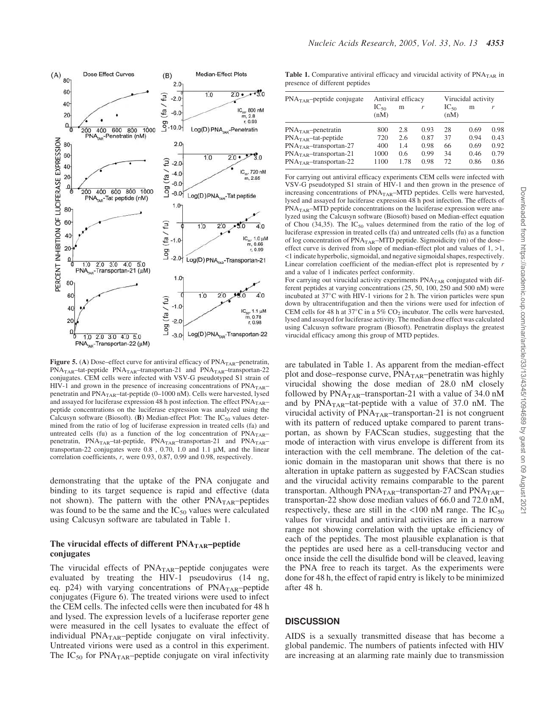

Figure 5. (A) Dose–effect curve for antiviral efficacy of  $PNA<sub>TAR</sub>$ –penetratin,  $PNA<sub>TAR</sub>$ –tat-peptide  $PNA<sub>TAR</sub>$ –transportan-21 and  $PNA<sub>TAR</sub>$ –transportan-22 conjugates. CEM cells were infected with VSV-G pseudotyped S1 strain of HIV-1 and grown in the presence of increasing concentrations of  $PNA<sub>TAR</sub>$ – penetratin and PNA<sub>TAR</sub>-tat-peptide (0-1000 nM). Cells were harvested, lysed and assayed for luciferase expression 48 h post infection. The effect PNA<sub>TAR</sub>peptide concentrations on the luciferase expression was analyzed using the Calcusyn software (Biosoft). (B) Median-effect Plot: The  $IC_{50}$  values determined from the ratio of log of luciferase expression in treated cells (fa) and untreated cells (fu) as a function of the log concentration of  $PNA<sub>TAR</sub>$ penetratin, PNA<sub>TAR</sub>-tat-peptide, PNA<sub>TAR</sub>-transportan-21 and PNA<sub>TAR</sub>transportan-22 conjugates were  $0.8$ ,  $0.70$ ,  $1.0$  and  $1.1 \mu M$ , and the linear correlation coefficients, *r*, were 0.93, 0.87, 0.99 and 0.98, respectively.

demonstrating that the uptake of the PNA conjugate and binding to its target sequence is rapid and effective (data not shown). The pattern with the other  $PNA<sub>TAR</sub>$ –peptides was found to be the same and the  $IC_{50}$  values were calculated using Calcusyn software are tabulated in Table 1.

# The virucidal effects of different  $PNA<sub>TAR</sub>$ –peptide conjugates

The virucidal effects of  $PNA<sub>TAR</sub>$ -peptide conjugates were evaluated by treating the HIV-1 pseudovirus (14 ng, eq. p24) with varying concentrations of  $PNA<sub>TAR</sub>$ -peptide conjugates (Figure 6). The treated virions were used to infect the CEM cells. The infected cells were then incubated for 48 h and lysed. The expression levels of a luciferase reporter gene were measured in the cell lysates to evaluate the effect of individual PNA<sub>TAR</sub>-peptide conjugate on viral infectivity. Untreated virions were used as a control in this experiment. The  $IC_{50}$  for PNA<sub>TAR</sub>–peptide conjugate on viral infectivity

Table 1. Comparative antiviral efficacy and virucidal activity of  $PNA<sub>TAR</sub>$  in presence of different peptides

| $PNATAR$ -peptide conjugate | Antiviral efficacy |      |      | Virucidal activity |      |      |
|-----------------------------|--------------------|------|------|--------------------|------|------|
|                             | $IC_{50}$<br>(nM)  | m    | r    | $IC_{50}$<br>(nM)  | m    | r    |
| $PNATAR$ -penetratin        | 800                | 2.8  | 0.93 | 28                 | 0.69 | 0.98 |
| $PNATAR$ -tat-peptide       | 720                | 2.6  | 0.87 | 37                 | 0.94 | 0.43 |
| $PNATAR$ -transportan-27    | 400                | 1.4  | 0.98 | 66                 | 0.69 | 0.92 |
| $PNATAR$ -transportan-21    | 1000               | 0.6  | 0.99 | 34                 | 0.46 | 0.79 |
| $PNATAR$ -transportan-22    | 1100               | 1.78 | 0.98 | 72                 | 0.86 | 0.86 |

For carrying out antiviral efficacy experiments CEM cells were infected with VSV-G pseudotyped S1 strain of HIV-1 and then grown in the presence of increasing concentrations of PNA<sub>TAR</sub>-MTD peptides. Cells were harvested, lysed and assayed for luciferase expression 48 h post infection. The effects of  $PNA<sub>TAR</sub>$ –MTD peptide concentrations on the luciferase expression were analyzed using the Calcusyn software (Biosoft) based on Median-effect equation of Chou (34,35). The  $IC_{50}$  values determined from the ratio of the log of luciferase expression in treated cells (fa) and untreated cells (fu) as a function of log concentration of  $PNA<sub>TAR</sub>$ –MTD peptide. Sigmoidicity (m) of the dose– effect curve is derived from slope of median-effect plot and values of  $1, >1$ , <1 indicate hyperbolic, sigmoidal, and negative sigmoidal shapes, respectively. Linear correlation coefficient of the median-effect plot is represented by *r* and a value of 1 indicates perfect conformity.

For carrying out virucidal activity experiments  $PNA<sub>TAR</sub>$  conjugated with different peptides at varying concentrations (25, 50, 100, 250 and 500 nM) were incubated at 37°C with HIV-1 virions for 2 h. The virion particles were spun down by ultracentrifugation and then the virions were used for infection of CEM cells for 48 h at  $37^{\circ}$ C in a 5% CO<sub>2</sub> incubator. The cells were harvested, lysed and assayed for luciferase activity. The median dose effect was calculated using Calcusyn software program (Biosoft). Penetratin displays the greatest virucidal efficacy among this group of MTD peptides.

are tabulated in Table 1. As apparent from the median-effect plot and dose–response curve,  $PNA<sub>TAR</sub>$ –penetratin was highly virucidal showing the dose median of 28.0 nM closely followed by  $PNA<sub>TAR</sub>$ -transportan-21 with a value of 34.0 nM and by  $PNA<sub>TAR</sub>$ -tat-peptide with a value of 37.0 nM. The virucidal activity of  $PNA<sub>TAR</sub>$ -transportan-21 is not congruent with its pattern of reduced uptake compared to parent transportan, as shown by FACScan studies, suggesting that the mode of interaction with virus envelope is different from its interaction with the cell membrane. The deletion of the cationic domain in the mastoparan unit shows that there is no alteration in uptake pattern as suggested by FACScan studies and the virucidal activity remains comparable to the parent transportan. Although PNA<sub>TAR</sub>-transportan-27 and PNA<sub>TAR</sub>transportan-22 show dose median values of 66.0 and 72.0 nM, respectively, these are still in the  $\langle 100 \text{ nM} \rangle$  range. The IC<sub>50</sub> values for virucidal and antiviral activities are in a narrow range not showing correlation with the uptake efficiency of each of the peptides. The most plausible explanation is that the peptides are used here as a cell-transducing vector and once inside the cell the disulfide bond will be cleaved, leaving the PNA free to reach its target. As the experiments were done for 48 h, the effect of rapid entry is likely to be minimized after 48 h.

# **DISCUSSION**

AIDS is a sexually transmitted disease that has become a global pandemic. The numbers of patients infected with HIV are increasing at an alarming rate mainly due to transmission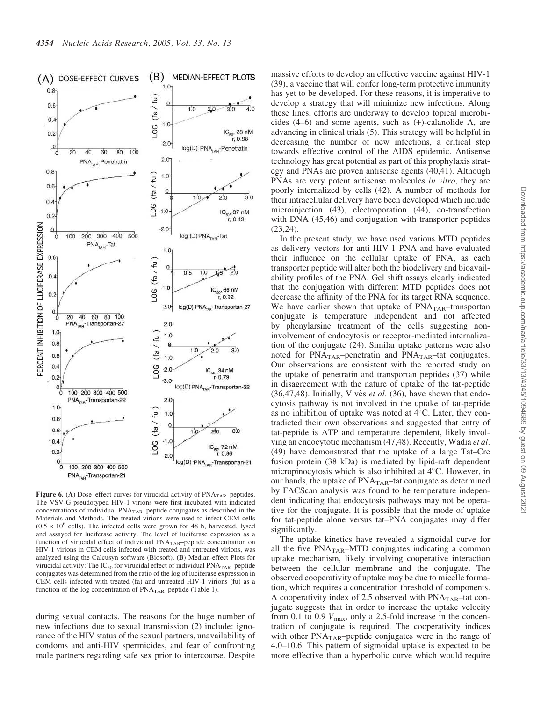

Figure 6. (A) Dose-effect curves for virucidal activity of  $PNA<sub>TAR</sub>$ -peptides. The VSV-G pseudotyped HIV-1 virions were first incubated with indicated concentrations of individual  $PNA<sub>TAR</sub>$ –peptide conjugates as described in the Materials and Methods. The treated virions were used to infect CEM cells  $(0.5 \times 10^6$  cells). The infected cells were grown for 48 h, harvested, lysed and assayed for luciferase activity. The level of luciferase expression as a function of virucidal effect of individual PNA<sub>TAR</sub>-peptide concentration on HIV-1 virions in CEM cells infected with treated and untreated virions, was analyzed using the Calcusyn software (Biosoft). (B) Median-effect Plots for virucidal activity: The  $IC_{50}$  for virucidal effect of individual  $PNA<sub>TAR</sub>$ -peptide conjugates was determined from the ratio of the log of luciferase expression in CEM cells infected with treated (fa) and untreated HIV-1 virions (fu) as a function of the log concentration of  $PNA<sub>TAR</sub>$ –peptide (Table 1).

during sexual contacts. The reasons for the huge number of new infections due to sexual transmission (2) include: ignorance of the HIV status of the sexual partners, unavailability of condoms and anti-HIV spermicides, and fear of confronting male partners regarding safe sex prior to intercourse. Despite massive efforts to develop an effective vaccine against HIV-1 (39), a vaccine that will confer long-term protective immunity has yet to be developed. For these reasons, it is imperative to develop a strategy that will minimize new infections. Along these lines, efforts are underway to develop topical microbicides (4–6) and some agents, such as (+)-calanolide A, are advancing in clinical trials (5). This strategy will be helpful in decreasing the number of new infections, a critical step towards effective control of the AIDS epidemic. Antisense technology has great potential as part of this prophylaxis strategy and PNAs are proven antisense agents (40,41). Although PNAs are very potent antisense molecules *in vitro*, they are poorly internalized by cells (42). A number of methods for their intracellular delivery have been developed which include microinjection (43), electroporation (44), co-transfection with DNA  $(45, 46)$  and conjugation with transporter peptides (23,24).

In the present study, we have used various MTD peptides as delivery vectors for anti-HIV-1 PNA and have evaluated their influence on the cellular uptake of PNA, as each transporter peptide will alter both the biodelivery and bioavailability profiles of the PNA. Gel shift assays clearly indicated that the conjugation with different MTD peptides does not decrease the affinity of the PNA for its target RNA sequence. We have earlier shown that uptake of PNA<sub>TAR</sub>-transportan conjugate is temperature independent and not affected by phenylarsine treatment of the cells suggesting noninvolvement of endocytosis or receptor-mediated internalization of the conjugate (24). Similar uptake patterns were also noted for  $PNA<sub>TAR</sub>$ -penetratin and  $PNA<sub>TAR</sub>$ -tat conjugates. Our observations are consistent with the reported study on the uptake of penetratin and transportan peptides (37) while in disagreement with the nature of uptake of the tat-peptide (36,47,48). Initially, Vivès *et al.* (36), have shown that endocytosis pathway is not involved in the uptake of tat-peptide as no inhibition of uptake was noted at  $4^{\circ}$ C. Later, they contradicted their own observations and suggested that entry of tat-peptide is ATP and temperature dependent, likely involving an endocytotic mechanism (47,48). Recently, Wadia *et al*. (49) have demonstrated that the uptake of a large Tat–Cre fusion protein (38 kDa) is mediated by lipid-raft dependent micropinocytosis which is also inhibited at  $4^{\circ}$ C. However, in our hands, the uptake of  $PNA<sub>TAR</sub>$ -tat conjugate as determined by FACScan analysis was found to be temperature independent indicating that endocytosis pathways may not be operative for the conjugate. It is possible that the mode of uptake for tat-peptide alone versus tat–PNA conjugates may differ significantly.

The uptake kinetics have revealed a sigmoidal curve for all the five  $PNA<sub>TAR</sub>$ –MTD conjugates indicating a common uptake mechanism, likely involving cooperative interaction between the cellular membrane and the conjugate. The observed cooperativity of uptake may be due to micelle formation, which requires a concentration threshold of components. A cooperativity index of 2.5 observed with  $PNA<sub>TAR</sub>$ -tat conjugate suggests that in order to increase the uptake velocity from 0.1 to 0.9  $V_{\text{max}}$ , only a 2.5-fold increase in the concentration of conjugate is required. The cooperativity indices with other  $PNA<sub>TAR</sub>$ -peptide conjugates were in the range of 4.0–10.6. This pattern of sigmoidal uptake is expected to be more effective than a hyperbolic curve which would require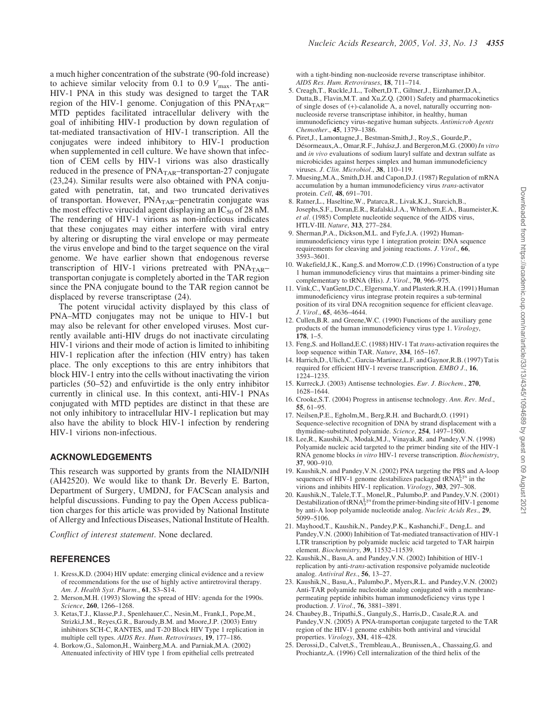a much higher concentration of the substrate (90-fold increase) to achieve similar velocity from 0.1 to 0.9  $V_{\text{max}}$ . The anti-HIV-1 PNA in this study was designed to target the TAR region of the HIV-1 genome. Conjugation of this  $PNA<sub>TAR</sub>$ MTD peptides facilitated intracellular delivery with the goal of inhibiting HIV-1 production by down regulation of tat-mediated transactivation of HIV-1 transcription. All the conjugates were indeed inhibitory to HIV-1 production when supplemented in cell culture. We have shown that infection of CEM cells by HIV-1 virions was also drastically reduced in the presence of  $PNA<sub>TAR</sub>$ –transportan-27 conjugate (23,24). Similar results were also obtained with PNA conjugated with penetratin, tat, and two truncated derivatives of transportan. However,  $PNA<sub>TAR</sub>$ -penetratin conjugate was the most effective virucidal agent displaying an  $IC_{50}$  of 28 nM. The rendering of HIV-1 virions as non-infectious indicates that these conjugates may either interfere with viral entry by altering or disrupting the viral envelope or may permeate the virus envelope and bind to the target sequence on the viral genome. We have earlier shown that endogenous reverse transcription of HIV-1 virions pretreated with  $PNA<sub>TAR</sub>$ transportan conjugate is completely aborted in the TAR region since the PNA conjugate bound to the TAR region cannot be displaced by reverse transcriptase (24).

The potent virucidal activity displayed by this class of PNA–MTD conjugates may not be unique to HIV-1 but may also be relevant for other enveloped viruses. Most currently available anti-HIV drugs do not inactivate circulating HIV-1 virions and their mode of action is limited to inhibiting HIV-1 replication after the infection (HIV entry) has taken place. The only exceptions to this are entry inhibitors that block HIV-1 entry into the cells without inactivating the virion particles (50–52) and enfuvirtide is the only entry inhibitor currently in clinical use. In this context, anti-HIV-1 PNAs conjugated with MTD peptides are distinct in that these are not only inhibitory to intracellular HIV-1 replication but may also have the ability to block HIV-1 infection by rendering HIV-1 virions non-infectious.

#### ACKNOWLEDGEMENTS

This research was supported by grants from the NIAID/NIH (AI42520). We would like to thank Dr. Beverly E. Barton, Department of Surgery, UMDNJ, for FACScan analysis and helpful discussions. Funding to pay the Open Access publication charges for this article was provided by National Institute of Allergy and Infectious Diseases, National Institute of Health.

*Conflict of interest statement*. None declared.

### **REFERENCES**

- 1. Kress,K.D. (2004) HIV update: emerging clinical evidence and a review of recommendations for the use of highly active antiretroviral therapy. *Am. J. Health Syst. Pharm.*, 61, S3–S14.
- 2. Merson,M.H. (1993) Slowing the spread of HIV: agenda for the 1990s. *Science*, 260, 1266–1268.
- 3. Ketas,T.J., Klasse,P.J., Spenlehauer,C., Nesin,M., Frank,I., Pope,M., Strizki,J.M., Reyes,G.R., Baroudy,B.M. and Moore,J.P. (2003) Entry inhibitors SCH-C, RANTES, and T-20 Block HIV Type 1 replication in multiple cell types. *AIDS Res. Hum. Retroviruses*, 19, 177–186.
- 4. Borkow,G., Salomon,H., Wainberg,M.A. and Parniak,M.A. (2002) Attenuated infectivity of HIV type 1 from epithelial cells pretreated

with a tight-binding non-nucleoside reverse transcriptase inhibitor. *AIDS Res. Hum. Retroviruses*, 18, 711–714.

- 5. Creagh,T., Ruckle,J.L., Tolbert,D.T., Giltner,J., Eiznhamer,D.A., Dutta,B., Flavin,M.T. and Xu,Z.Q. (2001) Safety and pharmacokinetics of single doses of (+)-calanolide A, a novel, naturally occurring nonnucleoside reverse transcriptase inhibitor, in healthy, human immunodeficiency virus-negative human subjects. *Antimicrob Agents Chemother.*, 45, 1379–1386.
- 6. Piret,J., Lamontagne,J., Bestman-Smith,J., Roy,S., Gourde,P., Désormeaux, A., Omar, R.F., Juhász, J. and Bergeron, M.G. (2000) *In vitro* and *in vivo* evaluations of sodium lauryl sulfate and dextran sulfate as microbicides against herpes simplex and human immunodeficiency viruses. *J. Clin. Microbiol.*, 38, 110–119.
- 7. Muesing,M.A., Smith,D.H. and Capon,D.J. (1987) Regulation of mRNA accumulation by a human immunodeficiency virus *trans*-activator protein. *Cell*, 48, 691–701.
- 8. Ratner,L., Haseltine,W., Patarca,R., Livak,K.J., Starcich,B., Josephs,S.F., Doran,E.R., Rafalski,J.A., Whitehorn,E.A., Baumeister,K. *et al.* (1985) Complete nucleotide sequence of the AIDS virus, HTLV-III. *Nature*, 313, 277–284.
- 9. Sherman,P.A., Dickson,M.L. and Fyfe,J.A. (1992) Humanimmunodeficiency virus type 1 integration protein: DNA sequence requirements for cleaving and joining reactions. *J. Virol.*, 66, 3593–3601.
- 10. Wakefield,J.K., Kang,S. and Morrow,C.D. (1996) Construction of a type 1 human immunodeficiency virus that maintains a primer-binding site complementary to tRNA (His). *J. Virol.*, 70, 966–975.
- 11. Vink,C., VanGent,D.C., Elgersma,Y. and Plasterk,R.H.A. (1991) Human immunodeficiency virus integrase protein requires a sub-terminal position of its viral DNA recognition sequence for efficient cleavage. *J. Virol.*, 65, 4636–4644.
- 12. Cullen,B.R. and Greene,W.C. (1990) Functions of the auxiliary gene products of the human immunodeficiency virus type 1. *Virology*, 178, 1–5.
- 13. Feng,S. and Holland,E.C. (1988) HIV-1 Tat *trans*-activation requires the loop sequence within TAR. *Nature*, 334, 165–167.
- 14. Harrich,D., Ulich,C., Garcia-Martinez,L.F. and Gaynor,R.B. (1997) Tatis required for efficient HIV-1 reverse transcription. *EMBO J.*, 16, 1224–1235.
- 15. Kurreck,J. (2003) Antisense technologies. *Eur. J. Biochem.*, 270, 1628–1644.
- 16. Crooke,S.T. (2004) Progress in antisense technology. *Ann. Rev. Med.*, 55, 61–95.
- 17. Neilsen,P.E., Egholm,M., Berg,R.H. and Buchardt,O. (1991) Sequence-selective recognition of DNA by strand displacement with a thymidine-substituted polyamide. *Science*, 254, 1497–1500.
- 18. Lee,R., Kaushik,N., Modak,M.J., Vinayak,R. and Pandey,V.N. (1998) Polyamide nucleic acid targeted to the primer binding site of the HIV-1 RNA genome blocks *in vitro* HIV-1 reverse transcription. *Biochemistry*, 37, 900–910.
- 19. Kaushik,N. and Pandey,V.N. (2002) PNA targeting the PBS and A-loop sequences of HIV-1 genome destabilizes packaged tRNA<sup>Lys</sup> in the virions and inhibits HIV-1 replication. *Virology*, 303, 297–308.
- 20. Kaushik,N., Talele,T.T., Monel,R., Palumbo,P. and Pandey,V.N. (2001) Destabilization of tRNA $_3^{\rm Lys}$  from the primer-binding site of HIV-1 genome by anti-A loop polyamide nucleotide analog. *Nucleic Acids Res.*, 29, 5099–5106.
- 21. Mayhood,T., Kaushik,N., Pandey,P.K., Kashanchi,F., Deng,L. and Pandey,V.N. (2000) Inhibition of Tat-mediated transactivation of HIV-1 LTR transcription by polyamide nucleic acid targeted to TAR hairpin element. *Biochemistry*, 39, 11532–11539.
- 22. Kaushik,N., Basu,A. and Pandey,V.N. (2002) Inhibition of HIV-1 replication by anti-*trans*-activation responsive polyamide nucleotide analog. *Antiviral Res.*, 56, 13–27.
- 23. Kaushik,N., Basu,A., Palumbo,P., Myers,R.L. and Pandey,V.N. (2002) Anti-TAR polyamide nucleotide analog conjugated with a membranepermeating peptide inhibits human immunodeficiency virus type 1 production. *J. Virol.*, 76, 3881–3891.
- 24. Chaubey,B., Tripathi,S., Ganguly,S., Harris,D., Casale,R.A. and Pandey,V.N. (2005) A PNA-transportan conjugate targeted to the TAR region of the HIV-1 genome exhibits both antiviral and virucidal properties. *Virology*, 331, 418–428.
- 25. Derossi,D., Calvet,S., Trembleau,A., Brunissen,A., Chassaing,G. and Prochiantz,A. (1996) Cell internalization of the third helix of the